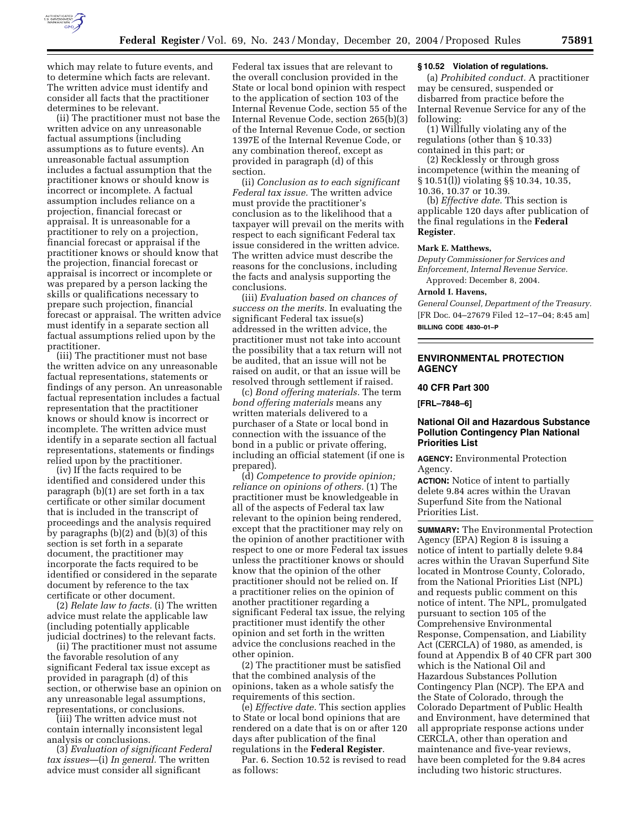

which may relate to future events, and to determine which facts are relevant. The written advice must identify and consider all facts that the practitioner determines to be relevant.

(ii) The practitioner must not base the written advice on any unreasonable factual assumptions (including assumptions as to future events). An unreasonable factual assumption includes a factual assumption that the practitioner knows or should know is incorrect or incomplete. A factual assumption includes reliance on a projection, financial forecast or appraisal. It is unreasonable for a practitioner to rely on a projection, financial forecast or appraisal if the practitioner knows or should know that the projection, financial forecast or appraisal is incorrect or incomplete or was prepared by a person lacking the skills or qualifications necessary to prepare such projection, financial forecast or appraisal. The written advice must identify in a separate section all factual assumptions relied upon by the practitioner.

(iii) The practitioner must not base the written advice on any unreasonable factual representations, statements or findings of any person. An unreasonable factual representation includes a factual representation that the practitioner knows or should know is incorrect or incomplete. The written advice must identify in a separate section all factual representations, statements or findings relied upon by the practitioner.

(iv) If the facts required to be identified and considered under this paragraph (b)(1) are set forth in a tax certificate or other similar document that is included in the transcript of proceedings and the analysis required by paragraphs (b)(2) and (b)(3) of this section is set forth in a separate document, the practitioner may incorporate the facts required to be identified or considered in the separate document by reference to the tax certificate or other document.

(2) *Relate law to facts.* (i) The written advice must relate the applicable law (including potentially applicable judicial doctrines) to the relevant facts.

(ii) The practitioner must not assume the favorable resolution of any significant Federal tax issue except as provided in paragraph (d) of this section, or otherwise base an opinion on any unreasonable legal assumptions, representations, or conclusions.

(iii) The written advice must not contain internally inconsistent legal analysis or conclusions.

(3) *Evaluation of significant Federal tax issues*—(i) *In general.* The written advice must consider all significant

Federal tax issues that are relevant to the overall conclusion provided in the State or local bond opinion with respect to the application of section 103 of the Internal Revenue Code, section 55 of the Internal Revenue Code, section 265(b)(3) of the Internal Revenue Code, or section 1397E of the Internal Revenue Code, or any combination thereof, except as provided in paragraph (d) of this section.

(ii) *Conclusion as to each significant Federal tax issue.* The written advice must provide the practitioner's conclusion as to the likelihood that a taxpayer will prevail on the merits with respect to each significant Federal tax issue considered in the written advice. The written advice must describe the reasons for the conclusions, including the facts and analysis supporting the conclusions.

(iii) *Evaluation based on chances of success on the merits.* In evaluating the significant Federal tax issue(s) addressed in the written advice, the practitioner must not take into account the possibility that a tax return will not be audited, that an issue will not be raised on audit, or that an issue will be resolved through settlement if raised.

(c) *Bond offering materials.* The term *bond offering materials* means any written materials delivered to a purchaser of a State or local bond in connection with the issuance of the bond in a public or private offering, including an official statement (if one is prepared).

(d) *Competence to provide opinion; reliance on opinions of others.* (1) The practitioner must be knowledgeable in all of the aspects of Federal tax law relevant to the opinion being rendered, except that the practitioner may rely on the opinion of another practitioner with respect to one or more Federal tax issues unless the practitioner knows or should know that the opinion of the other practitioner should not be relied on. If a practitioner relies on the opinion of another practitioner regarding a significant Federal tax issue, the relying practitioner must identify the other opinion and set forth in the written advice the conclusions reached in the other opinion.

(2) The practitioner must be satisfied that the combined analysis of the opinions, taken as a whole satisfy the requirements of this section.

(e) *Effective date.* This section applies to State or local bond opinions that are rendered on a date that is on or after 120 days after publication of the final regulations in the **Federal Register**.

Par. 6. Section 10.52 is revised to read as follows:

### **§ 10.52 Violation of regulations.**

(a) *Prohibited conduct.* A practitioner may be censured, suspended or disbarred from practice before the Internal Revenue Service for any of the following:

(1) Willfully violating any of the regulations (other than § 10.33) contained in this part; or

(2) Recklessly or through gross incompetence (within the meaning of § 10.51(l)) violating §§ 10.34, 10.35, 10.36, 10.37 or 10.39.

(b) *Effective date.* This section is applicable 120 days after publication of the final regulations in the **Federal Register**.

### **Mark E. Matthews,**

*Deputy Commissioner for Services and Enforcement, Internal Revenue Service.* 

Approved: December 8, 2004.

## **Arnold I. Havens,**

*General Counsel, Department of the Treasury.* [FR Doc. 04–27679 Filed 12–17–04; 8:45 am] **BILLING CODE 4830–01–P**

### **ENVIRONMENTAL PROTECTION AGENCY**

## **40 CFR Part 300**

**[FRL–7848–6]** 

## **National Oil and Hazardous Substance Pollution Contingency Plan National Priorities List**

**AGENCY:** Environmental Protection Agency.

**ACTION:** Notice of intent to partially delete 9.84 acres within the Uravan Superfund Site from the National Priorities List.

**SUMMARY:** The Environmental Protection Agency (EPA) Region 8 is issuing a notice of intent to partially delete 9.84 acres within the Uravan Superfund Site located in Montrose County, Colorado, from the National Priorities List (NPL) and requests public comment on this notice of intent. The NPL, promulgated pursuant to section 105 of the Comprehensive Environmental Response, Compensation, and Liability Act (CERCLA) of 1980, as amended, is found at Appendix B of 40 CFR part 300 which is the National Oil and Hazardous Substances Pollution Contingency Plan (NCP). The EPA and the State of Colorado, through the Colorado Department of Public Health and Environment, have determined that all appropriate response actions under CERCLA, other than operation and maintenance and five-year reviews, have been completed for the 9.84 acres including two historic structures.